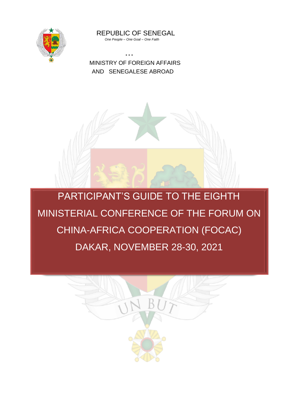

 REPUBLIC OF SENEGAL  *One People – One Goal – One Faith*

 \* \* \* MINISTRY OF FOREIGN AFFAIRS AND SENEGALESE ABROAD



PARTICIPANT'S GUIDE TO THE EIGHTH MINISTERIAL CONFERENCE OF THE FORUM ON CHINA-AFRICA COOPERATION (FOCAC) DAKAR, NOVEMBER 28-30, 2021

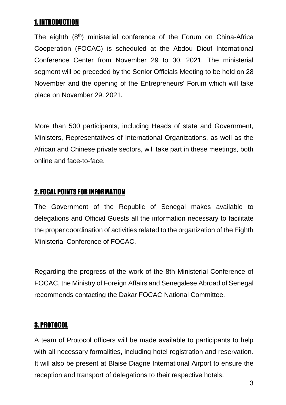## 1. INTRODUCTION

The eighth (8<sup>th</sup>) ministerial conference of the Forum on China-Africa Cooperation (FOCAC) is scheduled at the Abdou Diouf International Conference Center from November 29 to 30, 2021. The ministerial segment will be preceded by the Senior Officials Meeting to be held on 28 November and the opening of the Entrepreneurs' Forum which will take place on November 29, 2021.

More than 500 participants, including Heads of state and Government, Ministers, Representatives of International Organizations, as well as the African and Chinese private sectors, will take part in these meetings, both online and face-to-face.

## 2. FOCAL POINTS FOR INFORMATION

The Government of the Republic of Senegal makes available to delegations and Official Guests all the information necessary to facilitate the proper coordination of activities related to the organization of the Eighth Ministerial Conference of FOCAC.

Regarding the progress of the work of the 8th Ministerial Conference of FOCAC, the Ministry of Foreign Affairs and Senegalese Abroad of Senegal recommends contacting the Dakar FOCAC National Committee.

## 3. PROTOCOL

A team of Protocol officers will be made available to participants to help with all necessary formalities, including hotel registration and reservation. It will also be present at Blaise Diagne International Airport to ensure the reception and transport of delegations to their respective hotels.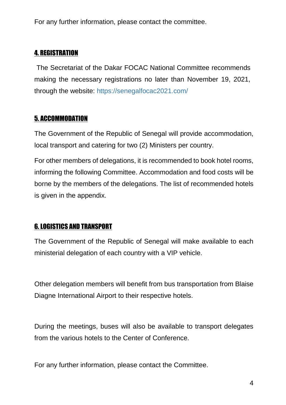For any further information, please contact the committee.

## 4. REGISTRATION

The Secretariat of the Dakar FOCAC National Committee recommends making the necessary registrations no later than November 19, 2021, through the website: https://senegalfocac2021.com/

## 5. ACCOMMODATION

The Government of the Republic of Senegal will provide accommodation, local transport and catering for two (2) Ministers per country.

For other members of delegations, it is recommended to book hotel rooms, informing the following Committee. Accommodation and food costs will be borne by the members of the delegations. The list of recommended hotels is given in the appendix.

## 6. LOGISTICS AND TRANSPORT

The Government of the Republic of Senegal will make available to each ministerial delegation of each country with a VIP vehicle.

Other delegation members will benefit from bus transportation from Blaise Diagne International Airport to their respective hotels.

During the meetings, buses will also be available to transport delegates from the various hotels to the Center of Conference.

For any further information, please contact the Committee.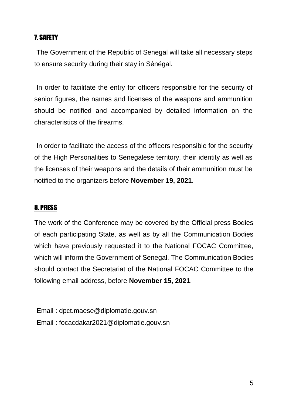## 7. SAFETY

The Government of the Republic of Senegal will take all necessary steps to ensure security during their stay in Sénégal.

In order to facilitate the entry for officers responsible for the security of senior figures, the names and licenses of the weapons and ammunition should be notified and accompanied by detailed information on the characteristics of the firearms.

In order to facilitate the access of the officers responsible for the security of the High Personalities to Senegalese territory, their identity as well as the licenses of their weapons and the details of their ammunition must be notified to the organizers before **November 19, 2021**.

## 8. PRESS

The work of the Conference may be covered by the Official press Bodies of each participating State, as well as by all the Communication Bodies which have previously requested it to the National FOCAC Committee, which will inform the Government of Senegal. The Communication Bodies should contact the Secretariat of the National FOCAC Committee to the following email address, before **November 15, 2021**.

Email : [dpct.maese@diplomatie.gouv.sn](mailto:dpct.maese@diplomatie.gouv.sn) Email : [focacdakar2021@diplomatie.gouv.sn](mailto:focacdakar2021@diplomatie.gouv.sn)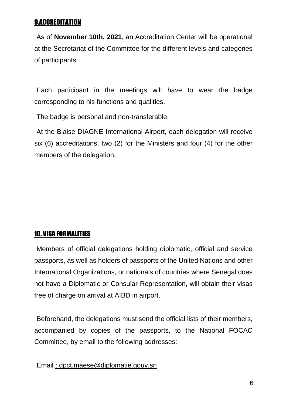## 9.ACCREDITATION

As of **November 10th, 2021**, an Accreditation Center will be operational at the Secretariat of the Committee for the different levels and categories of participants.

Each participant in the meetings will have to wear the badge corresponding to his functions and qualities.

The badge is personal and non-transferable.

At the Blaise DIAGNE International Airport, each delegation will receive six (6) accreditations, two (2) for the Ministers and four (4) for the other members of the delegation.

## 10. VISA FORMALITIES

Members of official delegations holding diplomatic, official and service passports, as well as holders of passports of the United Nations and other International Organizations, or nationals of countries where Senegal does not have a Diplomatic or Consular Representation, will obtain their visas free of charge on arrival at AIBD in airport.

Beforehand, the delegations must send the official lists of their members, accompanied by copies of the passports, to the National FOCAC Committee, by email to the following addresses:

Email : [dpct.maese@diplomatie.gouv.sn](mailto:dpct.maese@diplomatie.gouv.sn)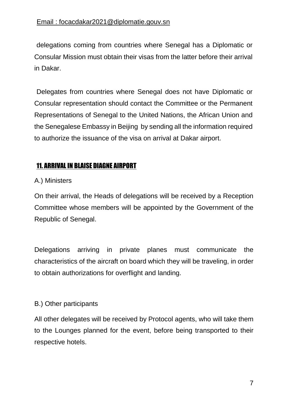delegations coming from countries where Senegal has a Diplomatic or Consular Mission must obtain their visas from the latter before their arrival in Dakar.

Delegates from countries where Senegal does not have Diplomatic or Consular representation should contact the Committee or the Permanent Representations of Senegal to the United Nations, the African Union and the Senegalese Embassy in Beijing by sending all the information required to authorize the issuance of the visa on arrival at Dakar airport.

## 11. ARRIVAL IN BLAISE DIAGNE AIRPORT

#### A.) Ministers

On their arrival, the Heads of delegations will be received by a Reception Committee whose members will be appointed by the Government of the Republic of Senegal.

Delegations arriving in private planes must communicate the characteristics of the aircraft on board which they will be traveling, in order to obtain authorizations for overflight and landing.

## B.) Other participants

All other delegates will be received by Protocol agents, who will take them to the Lounges planned for the event, before being transported to their respective hotels.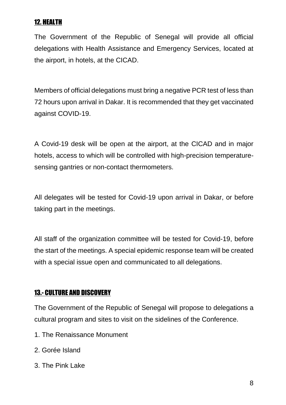## 12. HEALTH

The Government of the Republic of Senegal will provide all official delegations with Health Assistance and Emergency Services, located at the airport, in hotels, at the CICAD.

Members of official delegations must bring a negative PCR test of less than 72 hours upon arrival in Dakar. It is recommended that they get vaccinated against COVID-19.

A Covid-19 desk will be open at the airport, at the CICAD and in major hotels, access to which will be controlled with high-precision temperaturesensing gantries or non-contact thermometers.

All delegates will be tested for Covid-19 upon arrival in Dakar, or before taking part in the meetings.

All staff of the organization committee will be tested for Covid-19, before the start of the meetings. A special epidemic response team will be created with a special issue open and communicated to all delegations.

#### 13.- CULTURE AND DISCOVERY

The Government of the Republic of Senegal will propose to delegations a cultural program and sites to visit on the sidelines of the Conference.

- 1. The Renaissance Monument
- 2. Gorée Island
- 3. The Pink Lake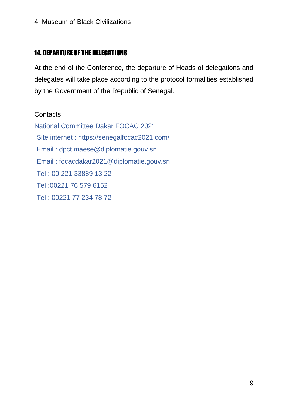## 14. DEPARTURE OF THE DELEGATIONS

At the end of the Conference, the departure of Heads of delegations and delegates will take place according to the protocol formalities established by the Government of the Republic of Senegal.

#### Contacts:

National Committee Dakar FOCAC 2021 Site internet :<https://senegalfocac2021.com/> Email : dpct.maese@diplomatie.gouv.sn Email : [focacdakar2021@diploma](about:blank)tie.gouv.sn Tel : 00 221 33889 13 22 Tel :00221 76 579 6152 Tel : 00221 77 234 78 72